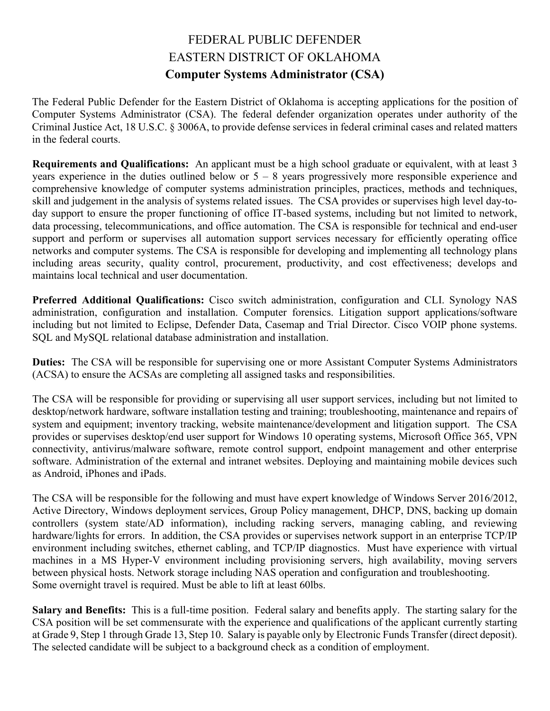## FEDERAL PUBLIC DEFENDER EASTERN DISTRICT OF OKLAHOMA **Computer Systems Administrator (CSA)**

The Federal Public Defender for the Eastern District of Oklahoma is accepting applications for the position of Computer Systems Administrator (CSA). The federal defender organization operates under authority of the Criminal Justice Act, 18 U.S.C. § 3006A, to provide defense services in federal criminal cases and related matters in the federal courts.

**Requirements and Qualifications:** An applicant must be a high school graduate or equivalent, with at least 3 years experience in the duties outlined below or  $5 - 8$  years progressively more responsible experience and comprehensive knowledge of computer systems administration principles, practices, methods and techniques, skill and judgement in the analysis of systems related issues. The CSA provides or supervises high level day-today support to ensure the proper functioning of office IT-based systems, including but not limited to network, data processing, telecommunications, and office automation. The CSA is responsible for technical and end-user support and perform or supervises all automation support services necessary for efficiently operating office networks and computer systems. The CSA is responsible for developing and implementing all technology plans including areas security, quality control, procurement, productivity, and cost effectiveness; develops and maintains local technical and user documentation.

**Preferred Additional Qualifications:** Cisco switch administration, configuration and CLI. Synology NAS administration, configuration and installation. Computer forensics. Litigation support applications/software including but not limited to Eclipse, Defender Data, Casemap and Trial Director. Cisco VOIP phone systems. SQL and MySQL relational database administration and installation.

**Duties:** The CSA will be responsible for supervising one or more Assistant Computer Systems Administrators (ACSA) to ensure the ACSAs are completing all assigned tasks and responsibilities.

The CSA will be responsible for providing or supervising all user support services, including but not limited to desktop/network hardware, software installation testing and training; troubleshooting, maintenance and repairs of system and equipment; inventory tracking, website maintenance/development and litigation support. The CSA provides or supervises desktop/end user support for Windows 10 operating systems, Microsoft Office 365, VPN connectivity, antivirus/malware software, remote control support, endpoint management and other enterprise software. Administration of the external and intranet websites. Deploying and maintaining mobile devices such as Android, iPhones and iPads.

The CSA will be responsible for the following and must have expert knowledge of Windows Server 2016/2012, Active Directory, Windows deployment services, Group Policy management, DHCP, DNS, backing up domain controllers (system state/AD information), including racking servers, managing cabling, and reviewing hardware/lights for errors. In addition, the CSA provides or supervises network support in an enterprise TCP/IP environment including switches, ethernet cabling, and TCP/IP diagnostics. Must have experience with virtual machines in a MS Hyper-V environment including provisioning servers, high availability, moving servers between physical hosts. Network storage including NAS operation and configuration and troubleshooting. Some overnight travel is required. Must be able to lift at least 60lbs.

**Salary and Benefits:** This is a full-time position. Federal salary and benefits apply. The starting salary for the CSA position will be set commensurate with the experience and qualifications of the applicant currently starting at Grade 9, Step 1 through Grade 13, Step 10. Salary is payable only by Electronic Funds Transfer (direct deposit). The selected candidate will be subject to a background check as a condition of employment.